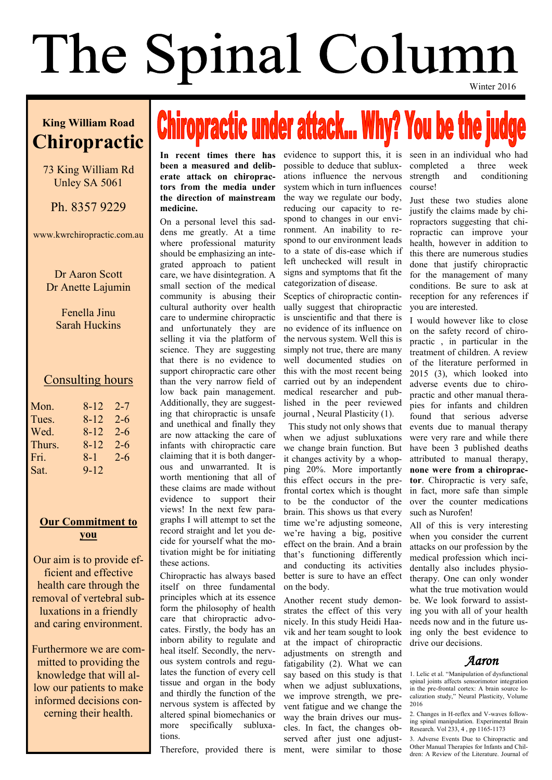## The Spinal Column Winter 2016

#### **King William Road Chiropractic**

#### 73 King William Rd Unley SA 5061

Ph. 8357 9229

www.kwrchiropractic.com.au

Dr Aaron Scott Dr Anette Lajumin

> Fenella Jinu Sarah Huckins

#### Consulting hours

| Mon.   | 8-12     | 2-7     |
|--------|----------|---------|
| Tues.  | 8-12     | $2 - 6$ |
| Wed.   | 8-12     | 2-6     |
| Thurs. | 8-12     | $2 - 6$ |
| Fri.   | $8 - 1$  | $2 - 6$ |
| Sat.   | $9 - 12$ |         |

#### **Our Commitment to you**

Our aim is to provide efficient and effective health care through the removal of vertebral subluxations in a friendly and caring environment.

Furthermore we are committed to providing the knowledge that will allow our patients to make informed decisions concerning their health.

# **Chiropractic under attack... Why? You be the judge**

**been a measured and deliberate attack on chiropractors from the media under the direction of mainstream medicine.**

On a personal level this saddens me greatly. At a time where professional maturity should be emphasizing an integrated approach to patient care, we have disintegration. A small section of the medical community is abusing their cultural authority over health care to undermine chiropractic and unfortunately they are selling it via the platform of science. They are suggesting that there is no evidence to support chiropractic care other than the very narrow field of low back pain management. Additionally, they are suggesting that chiropractic is unsafe and unethical and finally they are now attacking the care of infants with chiropractic care claiming that it is both dangerous and unwarranted. It is worth mentioning that all of these claims are made without evidence to support their views! In the next few paragraphs I will attempt to set the record straight and let you decide for yourself what the motivation might be for initiating these actions.

Chiropractic has always based itself on three fundamental principles which at its essence form the philosophy of health care that chiropractic advocates. Firstly, the body has an inborn ability to regulate and heal itself. Secondly, the nervous system controls and regulates the function of every cell tissue and organ in the body and thirdly the function of the nervous system is affected by altered spinal biomechanics or more specifically subluxations.

Therefore, provided there is

In recent times there has evidence to support this, it is seen in an individual who had possible to deduce that subluxations influence the nervous system which in turn influences the way we regulate our body, reducing our capacity to respond to changes in our environment. An inability to respond to our environment leads to a state of dis-ease which if left unchecked will result in signs and symptoms that fit the categorization of disease.

> Sceptics of chiropractic continually suggest that chiropractic is unscientific and that there is no evidence of its influence on the nervous system. Well this is simply not true, there are many well documented studies on this with the most recent being carried out by an independent medical researcher and published in the peer reviewed journal , Neural Plasticity (1).

> This study not only shows that when we adjust subluxations we change brain function. But it changes activity by a whopping 20%. More importantly this effect occurs in the prefrontal cortex which is thought to be the conductor of the brain. This shows us that every time we're adjusting someone, we're having a big, positive effect on the brain. And a brain that's functioning differently and conducting its activities better is sure to have an effect on the body.

Another recent study demonstrates the effect of this very nicely. In this study Heidi Haavik and her team sought to look at the impact of chiropractic adjustments on strength and fatigability (2). What we can say based on this study is that when we adjust subluxations. we improve strength, we prevent fatigue and we change the way the brain drives our muscles. In fact, the changes observed after just one adjustment, were similar to those

completed a three week strength and conditioning course!

Just these two studies alone justify the claims made by chiropractors suggesting that chiropractic can improve your health, however in addition to this there are numerous studies done that justify chiropractic for the management of many conditions. Be sure to ask at reception for any references if you are interested.

I would however like to close on the safety record of chiropractic , in particular in the treatment of children. A review of the literature performed in 2015 (3), which looked into adverse events due to chiropractic and other manual therapies for infants and children found that serious adverse events due to manual therapy were very rare and while there have been 3 published deaths attributed to manual therapy, **none were from a chiropractor**. Chiropractic is very safe, in fact, more safe than simple over the counter medications such as Nurofen!

All of this is very interesting when you consider the current attacks on our profession by the medical profession which incidentally also includes physiotherapy. One can only wonder what the true motivation would be. We look forward to assisting you with all of your health needs now and in the future using only the best evidence to drive our decisions.

 *Aaron* 

1. Lelic et al. "Manipulation of dysfunctional spinal joints affects sensorimotor integration in the pre-frontal cortex: A brain source localization study," Neural Plasticity, Volume 2016

2. Changes in H-reflex and V-waves following spinal manipulation. Experimental Brain Research. Vol 233, 4 , pp 1165-1173

3. Adverse Events Due to Chiropractic and Other Manual Therapies for Infants and Children: A Review of the Literature. Journal of